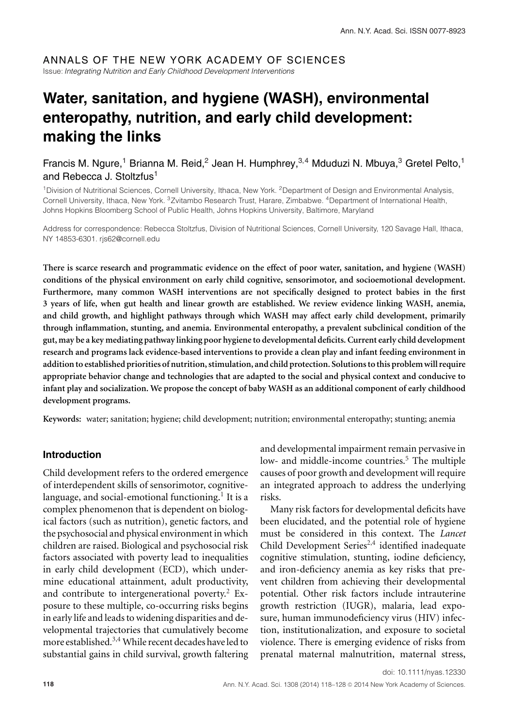## ANNALS OF THE NEW YORK ACADEMY OF SCIENCES

Issue: Integrating Nutrition and Early Childhood Development Interventions

# **Water, sanitation, and hygiene (WASH), environmental enteropathy, nutrition, and early child development: making the links**

Francis M. Ngure,<sup>1</sup> Brianna M. Reid,<sup>2</sup> Jean H. Humphrey,<sup>3,4</sup> Mduduzi N. Mbuya,<sup>3</sup> Gretel Pelto,<sup>1</sup> and Rebecca J. Stoltzfus<sup>1</sup>

<sup>1</sup>Division of Nutritional Sciences, Cornell University, Ithaca, New York. <sup>2</sup>Department of Design and Environmental Analysis, Cornell University, Ithaca, New York. 3Zvitambo Research Trust, Harare, Zimbabwe. 4Department of International Health, Johns Hopkins Bloomberg School of Public Health, Johns Hopkins University, Baltimore, Maryland

Address for correspondence: Rebecca Stoltzfus, Division of Nutritional Sciences, Cornell University, 120 Savage Hall, Ithaca, NY 14853-6301. rjs62@cornell.edu

**There is scarce research and programmatic evidence on the effect of poor water, sanitation, and hygiene (WASH) conditions of the physical environment on early child cognitive, sensorimotor, and socioemotional development. Furthermore, many common WASH interventions are not specifically designed to protect babies in the first 3 years of life, when gut health and linear growth are established. We review evidence linking WASH, anemia, and child growth, and highlight pathways through which WASH may affect early child development, primarily through inflammation, stunting, and anemia. Environmental enteropathy, a prevalent subclinical condition of the gut, may be a key mediating pathway linking poor hygiene to developmental deficits. Current early child development research and programs lack evidence-based interventions to provide a clean play and infant feeding environment in addition to established priorities of nutrition, stimulation, and child protection. Solutions to this problem will require appropriate behavior change and technologies that are adapted to the social and physical context and conducive to infant play and socialization. We propose the concept of baby WASH as an additional component of early childhood development programs.**

**Keywords:** water; sanitation; hygiene; child development; nutrition; environmental enteropathy; stunting; anemia

#### **Introduction**

Child development refers to the ordered emergence of interdependent skills of sensorimotor, cognitivelanguage, and social-emotional functioning.<sup>1</sup> It is a complex phenomenon that is dependent on biological factors (such as nutrition), genetic factors, and the psychosocial and physical environment in which children are raised. Biological and psychosocial risk factors associated with poverty lead to inequalities in early child development (ECD), which undermine educational attainment, adult productivity, and contribute to intergenerational poverty.<sup>2</sup> Exposure to these multiple, co-occurring risks begins in early life and leads to widening disparities and developmental trajectories that cumulatively become more established.<sup>3,4</sup> While recent decades have led to substantial gains in child survival, growth faltering and developmental impairment remain pervasive in low- and middle-income countries.<sup>5</sup> The multiple causes of poor growth and development will require an integrated approach to address the underlying risks.

Many risk factors for developmental deficits have been elucidated, and the potential role of hygiene must be considered in this context. The *Lancet* Child Development Series $2,4$  identified inadequate cognitive stimulation, stunting, iodine deficiency, and iron-deficiency anemia as key risks that prevent children from achieving their developmental potential. Other risk factors include intrauterine growth restriction (IUGR), malaria, lead exposure, human immunodeficiency virus (HIV) infection, institutionalization, and exposure to societal violence. There is emerging evidence of risks from prenatal maternal malnutrition, maternal stress,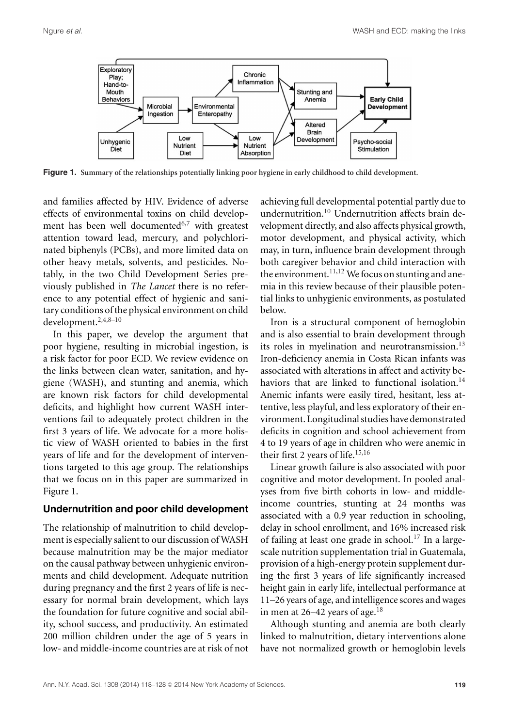

**Figure 1. Summary of the relationships potentially linking poor hygiene in early childhood to child development.**

and families affected by HIV. Evidence of adverse effects of environmental toxins on child development has been well documented $6,7$  with greatest attention toward lead, mercury, and polychlorinated biphenyls (PCBs), and more limited data on other heavy metals, solvents, and pesticides. Notably, in the two Child Development Series previously published in *The Lancet* there is no reference to any potential effect of hygienic and sanitary conditions of the physical environment on child development.2,4,8–10

In this paper, we develop the argument that poor hygiene, resulting in microbial ingestion, is a risk factor for poor ECD. We review evidence on the links between clean water, sanitation, and hygiene (WASH), and stunting and anemia, which are known risk factors for child developmental deficits, and highlight how current WASH interventions fail to adequately protect children in the first 3 years of life. We advocate for a more holistic view of WASH oriented to babies in the first years of life and for the development of interventions targeted to this age group. The relationships that we focus on in this paper are summarized in Figure 1.

#### **Undernutrition and poor child development**

The relationship of malnutrition to child development is especially salient to our discussion of WASH because malnutrition may be the major mediator on the causal pathway between unhygienic environments and child development. Adequate nutrition during pregnancy and the first 2 years of life is necessary for normal brain development, which lays the foundation for future cognitive and social ability, school success, and productivity. An estimated 200 million children under the age of 5 years in low- and middle-income countries are at risk of not achieving full developmental potential partly due to undernutrition.<sup>10</sup> Undernutrition affects brain development directly, and also affects physical growth, motor development, and physical activity, which may, in turn, influence brain development through both caregiver behavior and child interaction with the environment.<sup>11,12</sup> We focus on stunting and anemia in this review because of their plausible potential links to unhygienic environments, as postulated below.

Iron is a structural component of hemoglobin and is also essential to brain development through its roles in myelination and neurotransmission. $^{13}$ Iron-deficiency anemia in Costa Rican infants was associated with alterations in affect and activity behaviors that are linked to functional isolation.<sup>14</sup> Anemic infants were easily tired, hesitant, less attentive, less playful, and less exploratory of their environment. Longitudinal studies have demonstrated deficits in cognition and school achievement from 4 to 19 years of age in children who were anemic in their first 2 years of life.<sup>15,16</sup>

Linear growth failure is also associated with poor cognitive and motor development. In pooled analyses from five birth cohorts in low- and middleincome countries, stunting at 24 months was associated with a 0.9 year reduction in schooling, delay in school enrollment, and 16% increased risk of failing at least one grade in school.<sup>17</sup> In a largescale nutrition supplementation trial in Guatemala, provision of a high-energy protein supplement during the first 3 years of life significantly increased height gain in early life, intellectual performance at 11–26 years of age, and intelligence scores and wages in men at  $26-42$  years of age.<sup>18</sup>

Although stunting and anemia are both clearly linked to malnutrition, dietary interventions alone have not normalized growth or hemoglobin levels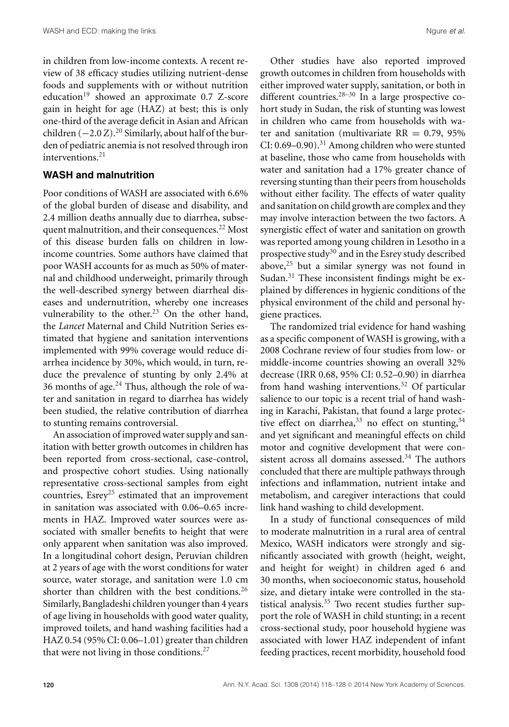in children from low-income contexts. A recent review of 38 efficacy studies utilizing nutrient-dense foods and supplements with or without nutrition education<sup>19</sup> showed an approximate 0.7 Z-score gain in height for age (HAZ) at best; this is only one-third of the average deficit in Asian and African children  $(-2.0 Z)$ .<sup>20</sup> Similarly, about half of the burden of pediatric anemia is not resolved through iron interventions.<sup>21</sup>

#### **WASH and malnutrition**

Poor conditions of WASH are associated with 6.6% of the global burden of disease and disability, and 2.4 million deaths annually due to diarrhea, subsequent malnutrition, and their consequences.<sup>22</sup> Most of this disease burden falls on children in lowincome countries. Some authors have claimed that poor WASH accounts for as much as 50% of maternal and childhood underweight, primarily through the well-described synergy between diarrheal diseases and undernutrition, whereby one increases vulnerability to the other.<sup>23</sup> On the other hand, the *Lancet* Maternal and Child Nutrition Series estimated that hygiene and sanitation interventions implemented with 99% coverage would reduce diarrhea incidence by 30%, which would, in turn, reduce the prevalence of stunting by only 2.4% at 36 months of age. $^{24}$  Thus, although the role of water and sanitation in regard to diarrhea has widely been studied, the relative contribution of diarrhea to stunting remains controversial.

An association of improved water supply and sanitation with better growth outcomes in children has been reported from cross-sectional, case-control, and prospective cohort studies. Using nationally representative cross-sectional samples from eight countries,  $Esrey^{25}$  estimated that an improvement in sanitation was associated with 0.06–0.65 increments in HAZ. Improved water sources were associated with smaller benefits to height that were only apparent when sanitation was also improved. In a longitudinal cohort design, Peruvian children at 2 years of age with the worst conditions for water source, water storage, and sanitation were 1.0 cm shorter than children with the best conditions.<sup>26</sup> Similarly, Bangladeshi children younger than 4 years of age living in households with good water quality, improved toilets, and hand washing facilities had a HAZ 0.54 (95% CI: 0.06–1.01) greater than children that were not living in those conditions.<sup>27</sup>

Other studies have also reported improved growth outcomes in children from households with either improved water supply, sanitation, or both in different countries. $28-30$  In a large prospective cohort study in Sudan, the risk of stunting was lowest in children who came from households with water and sanitation (multivariate  $RR = 0.79, 95\%$ CI:  $0.69-0.90$ ).<sup>31</sup> Among children who were stunted at baseline, those who came from households with water and sanitation had a 17% greater chance of reversing stunting than their peers from households without either facility. The effects of water quality and sanitation on child growth are complex and they may involve interaction between the two factors. A synergistic effect of water and sanitation on growth was reported among young children in Lesotho in a prospective study<sup>30</sup> and in the Esrey study described above,<sup>25</sup> but a similar synergy was not found in Sudan. $31$  These inconsistent findings might be explained by differences in hygienic conditions of the physical environment of the child and personal hygiene practices.

The randomized trial evidence for hand washing as a specific component of WASH is growing, with a 2008 Cochrane review of four studies from low- or middle-income countries showing an overall 32% decrease (IRR 0.68, 95% CI: 0.52–0.90) in diarrhea from hand washing interventions.<sup>32</sup> Of particular salience to our topic is a recent trial of hand washing in Karachi, Pakistan, that found a large protective effect on diarrhea,  $33$  no effect on stunting,  $34$ and yet significant and meaningful effects on child motor and cognitive development that were consistent across all domains assessed.<sup>34</sup> The authors concluded that there are multiple pathways through infections and inflammation, nutrient intake and metabolism, and caregiver interactions that could link hand washing to child development.

In a study of functional consequences of mild to moderate malnutrition in a rural area of central Mexico, WASH indicators were strongly and significantly associated with growth (height, weight, and height for weight) in children aged 6 and 30 months, when socioeconomic status, household size, and dietary intake were controlled in the statistical analysis. $35$  Two recent studies further support the role of WASH in child stunting; in a recent cross-sectional study, poor household hygiene was associated with lower HAZ independent of infant feeding practices, recent morbidity, household food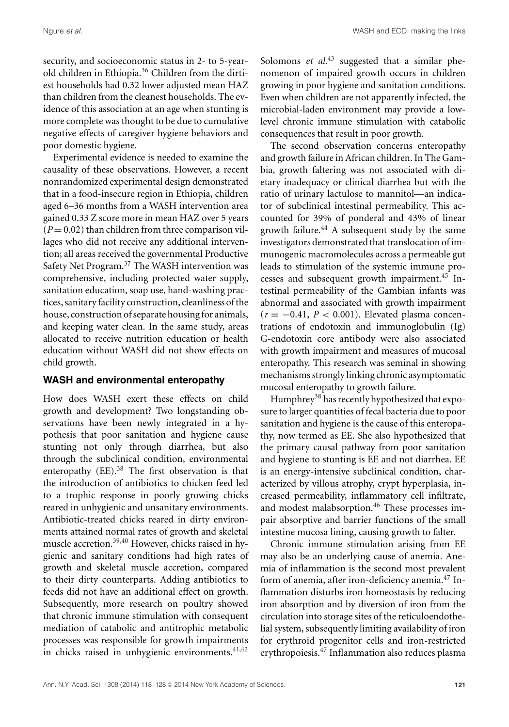security, and socioeconomic status in 2- to 5-yearold children in Ethiopia.<sup>36</sup> Children from the dirtiest households had 0.32 lower adjusted mean HAZ than children from the cleanest households. The evidence of this association at an age when stunting is more complete was thought to be due to cumulative negative effects of caregiver hygiene behaviors and poor domestic hygiene.

Experimental evidence is needed to examine the causality of these observations. However, a recent nonrandomized experimental design demonstrated that in a food-insecure region in Ethiopia, children aged 6–36 months from a WASH intervention area gained 0.33 Z score more in mean HAZ over 5 years  $(P = 0.02)$  than children from three comparison villages who did not receive any additional intervention; all areas received the governmental Productive Safety Net Program.<sup>37</sup> The WASH intervention was comprehensive, including protected water supply, sanitation education, soap use, hand-washing practices, sanitaryfacility construction, cleanliness of the house, construction of separate housing for animals, and keeping water clean. In the same study, areas allocated to receive nutrition education or health education without WASH did not show effects on child growth.

#### **WASH and environmental enteropathy**

How does WASH exert these effects on child growth and development? Two longstanding observations have been newly integrated in a hypothesis that poor sanitation and hygiene cause stunting not only through diarrhea, but also through the subclinical condition, environmental enteropathy  $(EE)$ .<sup>38</sup> The first observation is that the introduction of antibiotics to chicken feed led to a trophic response in poorly growing chicks reared in unhygienic and unsanitary environments. Antibiotic-treated chicks reared in dirty environments attained normal rates of growth and skeletal muscle accretion.<sup>39,40</sup> However, chicks raised in hygienic and sanitary conditions had high rates of growth and skeletal muscle accretion, compared to their dirty counterparts. Adding antibiotics to feeds did not have an additional effect on growth. Subsequently, more research on poultry showed that chronic immune stimulation with consequent mediation of catabolic and antitrophic metabolic processes was responsible for growth impairments in chicks raised in unhygienic environments. $41,42$  Solomons *et al.*<sup>43</sup> suggested that a similar phenomenon of impaired growth occurs in children growing in poor hygiene and sanitation conditions. Even when children are not apparently infected, the microbial-laden environment may provide a lowlevel chronic immune stimulation with catabolic consequences that result in poor growth.

The second observation concerns enteropathy and growth failure in African children. In The Gambia, growth faltering was not associated with dietary inadequacy or clinical diarrhea but with the ratio of urinary lactulose to mannitol—an indicator of subclinical intestinal permeability. This accounted for 39% of ponderal and 43% of linear growth failure.<sup>44</sup> A subsequent study by the same investigators demonstrated that translocation of immunogenic macromolecules across a permeable gut leads to stimulation of the systemic immune processes and subsequent growth impairment.<sup>45</sup> Intestinal permeability of the Gambian infants was abnormal and associated with growth impairment (*r* = −0.41, *P* < 0.001). Elevated plasma concentrations of endotoxin and immunoglobulin (Ig) G-endotoxin core antibody were also associated with growth impairment and measures of mucosal enteropathy. This research was seminal in showing mechanisms strongly linking chronic asymptomatic mucosal enteropathy to growth failure.

Humphrey<sup>38</sup> has recently hypothesized that exposure to larger quantities of fecal bacteria due to poor sanitation and hygiene is the cause of this enteropathy, now termed as EE. She also hypothesized that the primary causal pathway from poor sanitation and hygiene to stunting is EE and not diarrhea. EE is an energy-intensive subclinical condition, characterized by villous atrophy, crypt hyperplasia, increased permeability, inflammatory cell infiltrate, and modest malabsorption.<sup>46</sup> These processes impair absorptive and barrier functions of the small intestine mucosa lining, causing growth to falter.

Chronic immune stimulation arising from EE may also be an underlying cause of anemia. Anemia of inflammation is the second most prevalent form of anemia, after iron-deficiency anemia.<sup>47</sup> Inflammation disturbs iron homeostasis by reducing iron absorption and by diversion of iron from the circulation into storage sites of the reticuloendothelial system, subsequently limiting availability of iron for erythroid progenitor cells and iron-restricted erythropoiesis.<sup>47</sup> Inflammation also reduces plasma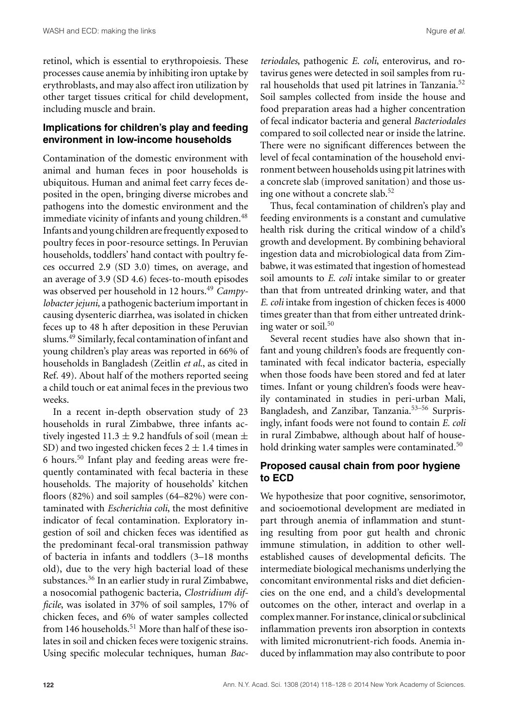retinol, which is essential to erythropoiesis. These processes cause anemia by inhibiting iron uptake by erythroblasts, and may also affect iron utilization by other target tissues critical for child development, including muscle and brain.

#### **Implications for children's play and feeding environment in low-income households**

Contamination of the domestic environment with animal and human feces in poor households is ubiquitous. Human and animal feet carry feces deposited in the open, bringing diverse microbes and pathogens into the domestic environment and the immediate vicinity of infants and young children.<sup>48</sup> Infants and young children arefrequently exposed to poultry feces in poor-resource settings. In Peruvian households, toddlers' hand contact with poultry feces occurred 2.9 (SD 3.0) times, on average, and an average of 3.9 (SD 4.6) feces-to-mouth episodes was observed per household in 12 hours.<sup>49</sup> Campy*lobacter jejuni,* a pathogenic bacterium important in causing dysenteric diarrhea, was isolated in chicken feces up to 48 h after deposition in these Peruvian slums.<sup>49</sup> Similarly, fecal contamination of infant and young children's play areas was reported in 66% of households in Bangladesh (Zeitlin *et al*., as cited in Ref. 49). About half of the mothers reported seeing a child touch or eat animal feces in the previous two weeks.

In a recent in-depth observation study of 23 households in rural Zimbabwe, three infants actively ingested 11.3  $\pm$  9.2 handfuls of soil (mean  $\pm$ SD) and two ingested chicken feces  $2 \pm 1.4$  times in 6 hours.<sup>50</sup> Infant play and feeding areas were frequently contaminated with fecal bacteria in these households. The majority of households' kitchen floors (82%) and soil samples (64–82%) were contaminated with *Escherichia coli*, the most definitive indicator of fecal contamination. Exploratory ingestion of soil and chicken feces was identified as the predominant fecal-oral transmission pathway of bacteria in infants and toddlers (3–18 months old), due to the very high bacterial load of these substances.<sup>36</sup> In an earlier study in rural Zimbabwe, a nosocomial pathogenic bacteria, *Clostridium difficile*, was isolated in 37% of soil samples, 17% of chicken feces, and 6% of water samples collected from 146 households.<sup>51</sup> More than half of these isolates in soil and chicken feces were toxigenic strains. Using specific molecular techniques, human *Bac-*

*teriodales*, pathogenic *E. coli*, enterovirus, and rotavirus genes were detected in soil samples from rural households that used pit latrines in Tanzania.<sup>52</sup> Soil samples collected from inside the house and food preparation areas had a higher concentration of fecal indicator bacteria and general *Bacteriodales* compared to soil collected near or inside the latrine. There were no significant differences between the level of fecal contamination of the household environment between households using pit latrines with a concrete slab (improved sanitation) and those using one without a concrete slab.<sup>52</sup>

Thus, fecal contamination of children's play and feeding environments is a constant and cumulative health risk during the critical window of a child's growth and development. By combining behavioral ingestion data and microbiological data from Zimbabwe, it was estimated that ingestion of homestead soil amounts to *E. coli* intake similar to or greater than that from untreated drinking water, and that *E. coli* intake from ingestion of chicken feces is 4000 times greater than that from either untreated drinking water or soil.<sup>50</sup>

Several recent studies have also shown that infant and young children's foods are frequently contaminated with fecal indicator bacteria, especially when those foods have been stored and fed at later times. Infant or young children's foods were heavily contaminated in studies in peri-urban Mali, Bangladesh, and Zanzibar, Tanzania.53–56 Surprisingly, infant foods were not found to contain *E. coli* in rural Zimbabwe, although about half of household drinking water samples were contaminated.<sup>50</sup>

## **Proposed causal chain from poor hygiene to ECD**

We hypothesize that poor cognitive, sensorimotor, and socioemotional development are mediated in part through anemia of inflammation and stunting resulting from poor gut health and chronic immune stimulation, in addition to other wellestablished causes of developmental deficits. The intermediate biological mechanisms underlying the concomitant environmental risks and diet deficiencies on the one end, and a child's developmental outcomes on the other, interact and overlap in a complexmanner. Forinstance, clinical or subclinical inflammation prevents iron absorption in contexts with limited micronutrient-rich foods. Anemia induced by inflammation may also contribute to poor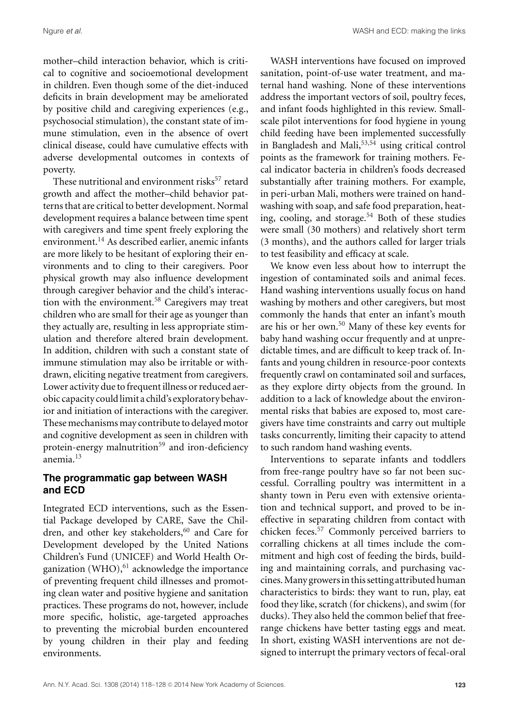mother–child interaction behavior, which is critical to cognitive and socioemotional development in children. Even though some of the diet-induced deficits in brain development may be ameliorated by positive child and caregiving experiences (e.g., psychosocial stimulation), the constant state of immune stimulation, even in the absence of overt clinical disease, could have cumulative effects with adverse developmental outcomes in contexts of poverty.

These nutritional and environment risks<sup>57</sup> retard growth and affect the mother–child behavior patterns that are critical to better development. Normal development requires a balance between time spent with caregivers and time spent freely exploring the environment.<sup>14</sup> As described earlier, anemic infants are more likely to be hesitant of exploring their environments and to cling to their caregivers. Poor physical growth may also influence development through caregiver behavior and the child's interaction with the environment.<sup>58</sup> Caregivers may treat children who are small for their age as younger than they actually are, resulting in less appropriate stimulation and therefore altered brain development. In addition, children with such a constant state of immune stimulation may also be irritable or withdrawn, eliciting negative treatment from caregivers. Lower activity due to frequent illness or reduced aerobic capacity could limit a child's exploratory behavior and initiation of interactions with the caregiver. These mechanisms may contribute to delayed motor and cognitive development as seen in children with protein-energy malnutrition $59$  and iron-deficiency anemia.<sup>13</sup>

## **The programmatic gap between WASH and ECD**

Integrated ECD interventions, such as the Essential Package developed by CARE, Save the Children, and other key stakeholders,<sup>60</sup> and Care for Development developed by the United Nations Children's Fund (UNICEF) and World Health Organization (WHO), $61$  acknowledge the importance of preventing frequent child illnesses and promoting clean water and positive hygiene and sanitation practices. These programs do not, however, include more specific, holistic, age-targeted approaches to preventing the microbial burden encountered by young children in their play and feeding environments.

WASH interventions have focused on improved sanitation, point-of-use water treatment, and maternal hand washing. None of these interventions address the important vectors of soil, poultry feces, and infant foods highlighted in this review. Smallscale pilot interventions for food hygiene in young child feeding have been implemented successfully in Bangladesh and Mali,<sup>53,54</sup> using critical control points as the framework for training mothers. Fecal indicator bacteria in children's foods decreased substantially after training mothers. For example, in peri-urban Mali, mothers were trained on handwashing with soap, and safe food preparation, heating, cooling, and storage.<sup>54</sup> Both of these studies were small (30 mothers) and relatively short term (3 months), and the authors called for larger trials to test feasibility and efficacy at scale.

We know even less about how to interrupt the ingestion of contaminated soils and animal feces. Hand washing interventions usually focus on hand washing by mothers and other caregivers, but most commonly the hands that enter an infant's mouth are his or her own.<sup>50</sup> Many of these key events for baby hand washing occur frequently and at unpredictable times, and are difficult to keep track of. Infants and young children in resource-poor contexts frequently crawl on contaminated soil and surfaces, as they explore dirty objects from the ground. In addition to a lack of knowledge about the environmental risks that babies are exposed to, most caregivers have time constraints and carry out multiple tasks concurrently, limiting their capacity to attend to such random hand washing events.

Interventions to separate infants and toddlers from free-range poultry have so far not been successful. Corralling poultry was intermittent in a shanty town in Peru even with extensive orientation and technical support, and proved to be ineffective in separating children from contact with chicken feces.<sup>57</sup> Commonly perceived barriers to corralling chickens at all times include the commitment and high cost of feeding the birds, building and maintaining corrals, and purchasing vaccines.Many growersin this setting attributed human characteristics to birds: they want to run, play, eat food they like, scratch (for chickens), and swim (for ducks). They also held the common belief that freerange chickens have better tasting eggs and meat. In short, existing WASH interventions are not designed to interrupt the primary vectors of fecal-oral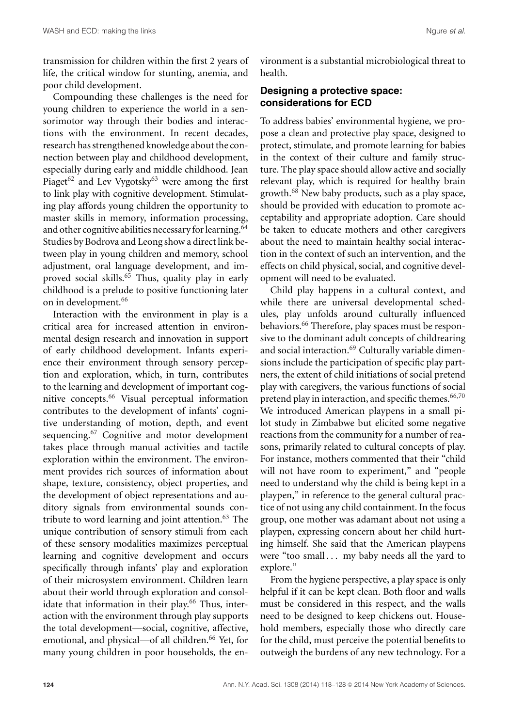transmission for children within the first 2 years of life, the critical window for stunting, anemia, and poor child development.

Compounding these challenges is the need for young children to experience the world in a sensorimotor way through their bodies and interactions with the environment. In recent decades, research has strengthened knowledge about the connection between play and childhood development, especially during early and middle childhood. Jean Piaget<sup>62</sup> and Lev Vygotsky<sup>63</sup> were among the first to link play with cognitive development. Stimulating play affords young children the opportunity to master skills in memory, information processing, and other cognitive abilities necessary for learning.<sup>64</sup> Studies by Bodrova and Leong show a direct link between play in young children and memory, school adjustment, oral language development, and improved social skills.<sup>65</sup> Thus, quality play in early childhood is a prelude to positive functioning later on in development.<sup>66</sup>

Interaction with the environment in play is a critical area for increased attention in environmental design research and innovation in support of early childhood development. Infants experience their environment through sensory perception and exploration, which, in turn, contributes to the learning and development of important cognitive concepts.<sup>66</sup> Visual perceptual information contributes to the development of infants' cognitive understanding of motion, depth, and event sequencing.<sup>67</sup> Cognitive and motor development takes place through manual activities and tactile exploration within the environment. The environment provides rich sources of information about shape, texture, consistency, object properties, and the development of object representations and auditory signals from environmental sounds contribute to word learning and joint attention. $63$  The unique contribution of sensory stimuli from each of these sensory modalities maximizes perceptual learning and cognitive development and occurs specifically through infants' play and exploration of their microsystem environment. Children learn about their world through exploration and consolidate that information in their play.<sup>66</sup> Thus, interaction with the environment through play supports the total development—social, cognitive, affective, emotional, and physical—of all children.<sup>66</sup> Yet, for many young children in poor households, the environment is a substantial microbiological threat to health.

#### **Designing a protective space: considerations for ECD**

To address babies' environmental hygiene, we propose a clean and protective play space, designed to protect, stimulate, and promote learning for babies in the context of their culture and family structure. The play space should allow active and socially relevant play, which is required for healthy brain growth.<sup>68</sup> New baby products, such as a play space, should be provided with education to promote acceptability and appropriate adoption. Care should be taken to educate mothers and other caregivers about the need to maintain healthy social interaction in the context of such an intervention, and the effects on child physical, social, and cognitive development will need to be evaluated.

Child play happens in a cultural context, and while there are universal developmental schedules, play unfolds around culturally influenced behaviors.<sup>66</sup> Therefore, play spaces must be responsive to the dominant adult concepts of childrearing and social interaction.<sup>69</sup> Culturally variable dimensions include the participation of specific play partners, the extent of child initiations of social pretend play with caregivers, the various functions of social pretend play in interaction, and specific themes.<sup>66,70</sup> We introduced American playpens in a small pilot study in Zimbabwe but elicited some negative reactions from the community for a number of reasons, primarily related to cultural concepts of play. For instance, mothers commented that their "child will not have room to experiment," and "people need to understand why the child is being kept in a playpen," in reference to the general cultural practice of not using any child containment. In the focus group, one mother was adamant about not using a playpen, expressing concern about her child hurting himself. She said that the American playpens were "too small ... my baby needs all the yard to explore."

From the hygiene perspective, a play space is only helpful if it can be kept clean. Both floor and walls must be considered in this respect, and the walls need to be designed to keep chickens out. Household members, especially those who directly care for the child, must perceive the potential benefits to outweigh the burdens of any new technology. For a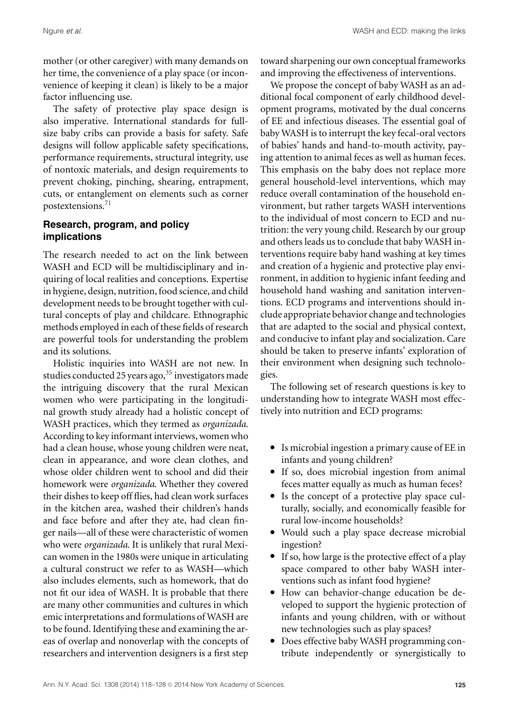mother (or other caregiver) with many demands on her time, the convenience of a play space (or inconvenience of keeping it clean) is likely to be a major factor influencing use.

The safety of protective play space design is also imperative. International standards for fullsize baby cribs can provide a basis for safety. Safe designs will follow applicable safety specifications, performance requirements, structural integrity, use of nontoxic materials, and design requirements to prevent choking, pinching, shearing, entrapment, cuts, or entanglement on elements such as corner postextensions.<sup>71</sup>

## **Research, program, and policy implications**

The research needed to act on the link between WASH and ECD will be multidisciplinary and inquiring of local realities and conceptions. Expertise in hygiene, design, nutrition, food science, and child development needs to be brought together with cultural concepts of play and childcare. Ethnographic methods employed in each of these fields of research are powerful tools for understanding the problem and its solutions.

Holistic inquiries into WASH are not new. In studies conducted 25 years ago,  $35$  investigators made the intriguing discovery that the rural Mexican women who were participating in the longitudinal growth study already had a holistic concept of WASH practices, which they termed as *organizada*. According to key informant interviews, women who had a clean house, whose young children were neat, clean in appearance, and wore clean clothes, and whose older children went to school and did their homework were *organizada*. Whether they covered their dishes to keep off flies, had clean work surfaces in the kitchen area, washed their children's hands and face before and after they ate, had clean finger nails—all of these were characteristic of women who were *organizada*. It is unlikely that rural Mexican women in the 1980s were unique in articulating a cultural construct we refer to as WASH—which also includes elements, such as homework, that do not fit our idea of WASH. It is probable that there are many other communities and cultures in which emic interpretations and formulations of WASH are to be found. Identifying these and examining the areas of overlap and nonoverlap with the concepts of researchers and intervention designers is a first step

toward sharpening our own conceptual frameworks and improving the effectiveness of interventions.

We propose the concept of baby WASH as an additional focal component of early childhood development programs, motivated by the dual concerns of EE and infectious diseases. The essential goal of baby WASH is to interrupt the key fecal-oral vectors of babies' hands and hand-to-mouth activity, paying attention to animal feces as well as human feces. This emphasis on the baby does not replace more general household-level interventions, which may reduce overall contamination of the household environment, but rather targets WASH interventions to the individual of most concern to ECD and nutrition: the very young child. Research by our group and others leads us to conclude that baby WASH interventions require baby hand washing at key times and creation of a hygienic and protective play environment, in addition to hygienic infant feeding and household hand washing and sanitation interventions. ECD programs and interventions should include appropriate behavior change and technologies that are adapted to the social and physical context, and conducive to infant play and socialization. Care should be taken to preserve infants' exploration of their environment when designing such technologies.

The following set of research questions is key to understanding how to integrate WASH most effectively into nutrition and ECD programs:

- Is microbial ingestion a primary cause of EE in
- infants and young children?<br>• If so, does microbial ingestion from animal
- feces matter equally as much as human feces?<br>
Is the concept of a protective play space culturally, socially, and economically feasible for
- rural low-income households? Would such a play space decrease microbial
- ingestion?<br>• If so, how large is the protective effect of a play space compared to other baby WASH inter-
- ventions such as infant food hygiene?<br>• How can behavior-change education be developed to support the hygienic protection of infants and young children, with or without
- new technologies such as play spaces?<br>• Does effective baby WASH programming contribute independently or synergistically to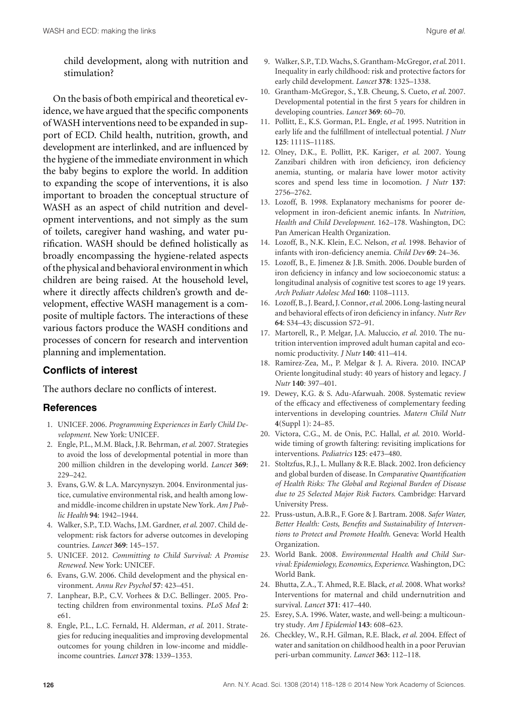child development, along with nutrition and stimulation?

On the basis of both empirical and theoretical evidence, we have argued that the specific components of WASH interventions need to be expanded in support of ECD. Child health, nutrition, growth, and development are interlinked, and are influenced by the hygiene of the immediate environment in which the baby begins to explore the world. In addition to expanding the scope of interventions, it is also important to broaden the conceptual structure of WASH as an aspect of child nutrition and development interventions, and not simply as the sum of toilets, caregiver hand washing, and water purification. WASH should be defined holistically as broadly encompassing the hygiene-related aspects of the physical and behavioral environment in which children are being raised. At the household level, where it directly affects children's growth and development, effective WASH management is a composite of multiple factors. The interactions of these various factors produce the WASH conditions and processes of concern for research and intervention planning and implementation.

#### **Conflicts of interest**

The authors declare no conflicts of interest.

#### **References**

- 1. UNICEF. 2006. *Programming Experiences in Early Child Development*. New York: UNICEF.
- 2. Engle, P.L., M.M. Black, J.R. Behrman, *et al*. 2007. Strategies to avoid the loss of developmental potential in more than 200 million children in the developing world. *Lancet* **369**: 229–242.
- 3. Evans, G.W. & L.A. Marcynyszyn. 2004. Environmental justice, cumulative environmental risk, and health among lowand middle-income children in upstate New York. *Am J Public Health* **94**: 1942–1944.
- 4. Walker, S.P., T.D. Wachs, J.M. Gardner, *et al*. 2007. Child development: risk factors for adverse outcomes in developing countries. *Lancet* **369**: 145–157.
- 5. UNICEF. 2012. *Committing to Child Survival: A Promise Renewed*. New York: UNICEF.
- 6. Evans, G.W. 2006. Child development and the physical environment. *Annu Rev Psychol* **57**: 423–451.
- 7. Lanphear, B.P., C.V. Vorhees & D.C. Bellinger. 2005. Protecting children from environmental toxins. *PLoS Med* **2**: e61.
- 8. Engle, P.L., L.C. Fernald, H. Alderman, *et al*. 2011. Strategies for reducing inequalities and improving developmental outcomes for young children in low-income and middleincome countries. *Lancet* **378**: 1339–1353.
- 9. Walker, S.P., T.D.Wachs, S. Grantham-McGregor,*et al*. 2011. Inequality in early childhood: risk and protective factors for early child development. *Lancet* **378**: 1325–1338.
- 10. Grantham-McGregor, S., Y.B. Cheung, S. Cueto, *et al*. 2007. Developmental potential in the first 5 years for children in developing countries. *Lancet* **369**: 60–70.
- 11. Pollitt, E., K.S. Gorman, P.L. Engle, *et al*. 1995. Nutrition in early life and the fulfillment of intellectual potential. *J Nutr* **125**: 1111S–1118S.
- 12. Olney, D.K., E. Pollitt, P.K. Kariger, *et al*. 2007. Young Zanzibari children with iron deficiency, iron deficiency anemia, stunting, or malaria have lower motor activity scores and spend less time in locomotion. *J Nutr* **137**: 2756–2762.
- 13. Lozoff, B. 1998. Explanatory mechanisms for poorer development in iron-deficient anemic infants. In *Nutrition, Health and Child Development*. 162–178. Washington, DC: Pan American Health Organization.
- 14. Lozoff, B., N.K. Klein, E.C. Nelson, *et al*. 1998. Behavior of infants with iron-deficiency anemia. *Child Dev* **69**: 24–36.
- 15. Lozoff, B., E. Jimenez & J.B. Smith. 2006. Double burden of iron deficiency in infancy and low socioeconomic status: a longitudinal analysis of cognitive test scores to age 19 years. *Arch Pediatr Adolesc Med* **160**: 1108–1113.
- 16. Lozoff, B., J. Beard, J. Connor,*et al*. 2006. Long-lasting neural and behavioral effects of iron deficiency in infancy. *Nutr Rev* **64**: S34–43; discussion S72–91.
- 17. Martorell, R., P. Melgar, J.A. Maluccio, *et al*. 2010. The nutrition intervention improved adult human capital and economic productivity. *J Nutr* **140**: 411–414.
- 18. Ramirez-Zea, M., P. Melgar & J. A. Rivera. 2010. INCAP Oriente longitudinal study: 40 years of history and legacy. *J Nutr* **140**: 397–401.
- 19. Dewey, K.G. & S. Adu-Afarwuah. 2008. Systematic review of the efficacy and effectiveness of complementary feeding interventions in developing countries. *Matern Child Nutr* **4**(Suppl 1): 24–85.
- 20. Victora, C.G., M. de Onis, P.C. Hallal, *et al*. 2010. Worldwide timing of growth faltering: revisiting implications for interventions. *Pediatrics* **125**: e473–480.
- 21. Stoltzfus, R.J., L. Mullany & R.E. Black. 2002. Iron deficiency and global burden of disease. In *Comparative Quantification of Health Risks: The Global and Regional Burden of Disease due to 25 Selected Major Risk Factors*. Cambridge: Harvard University Press.
- 22. Pruss-ustun, A.B.R., F. Gore & J. Bartram. 2008. *Safer Water, Better Health: Costs, Benefits and Sustainability of Interventions to Protect and Promote Health*. Geneva: World Health Organization.
- 23. World Bank. 2008. *Environmental Health and Child Survival: Epidemiology, Economics, Experience*.Washington, DC: World Bank.
- 24. Bhutta, Z.A., T. Ahmed, R.E. Black, *et al*. 2008. What works? Interventions for maternal and child undernutrition and survival. *Lancet* **371**: 417–440.
- 25. Esrey, S.A. 1996. Water, waste, and well-being: a multicountry study. *Am J Epidemiol* **143**: 608–623.
- 26. Checkley, W., R.H. Gilman, R.E. Black, *et al*. 2004. Effect of water and sanitation on childhood health in a poor Peruvian peri-urban community. *Lancet* **363**: 112–118.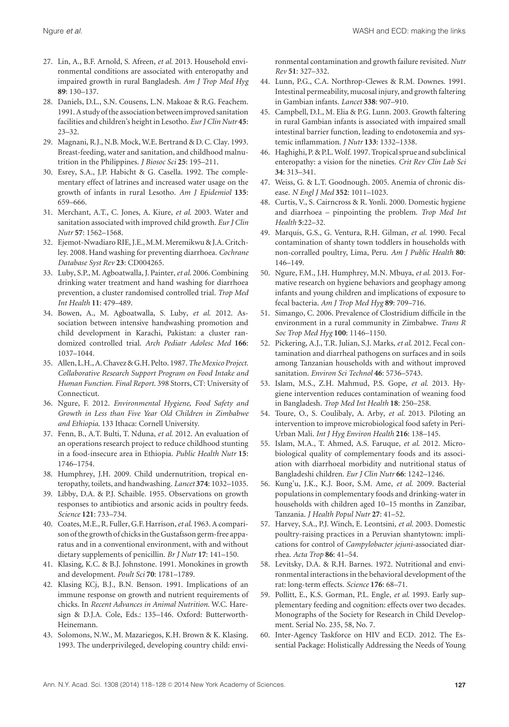- 27. Lin, A., B.F. Arnold, S. Afreen, *et al*. 2013. Household environmental conditions are associated with enteropathy and impaired growth in rural Bangladesh. *Am J Trop Med Hyg* **89**: 130–137.
- 28. Daniels, D.L., S.N. Cousens, L.N. Makoae & R.G. Feachem. 1991. A study of the association betweenimproved sanitation facilities and children's height in Lesotho. *Eur J Clin Nutr* **45**: 23–32.
- 29. Magnani, R.J., N.B. Mock, W.E. Bertrand & D. C. Clay. 1993. Breast-feeding, water and sanitation, and childhood malnutrition in the Philippines. *J Biosoc Sci* **25**: 195–211.
- 30. Esrey, S.A., J.P. Habicht & G. Casella. 1992. The complementary effect of latrines and increased water usage on the growth of infants in rural Lesotho. *Am J Epidemiol* **135**: 659–666.
- 31. Merchant, A.T., C. Jones, A. Kiure, *et al*. 2003. Water and sanitation associated with improved child growth. *Eur J Clin Nutr* **57**: 1562–1568.
- 32. Ejemot-Nwadiaro RIE, J.E., M.M. Meremikwu & J.A. Critchley. 2008. Hand washing for preventing diarrhoea. *Cochrane Database Syst Rev* **23**: CD004265.
- 33. Luby, S.P., M. Agboatwalla, J. Painter,*et al*. 2006. Combining drinking water treatment and hand washing for diarrhoea prevention, a cluster randomised controlled trial. *Trop Med Int Health* **11**: 479–489.
- 34. Bowen, A., M. Agboatwalla, S. Luby, *et al*. 2012. Association between intensive handwashing promotion and child development in Karachi, Pakistan: a cluster randomized controlled trial. *Arch Pediatr Adolesc Med* **166**: 1037–1044.
- 35. Allen, L.H., A.Chavez & G.H. Pelto. 1987.*TheMexico Project. Collaborative Research Support Program on Food Intake and Human Function. Final Report*. 398 Storrs, CT: University of Connecticut.
- 36. Ngure, F. 2012. *Environmental Hygiene, Food Safety and Growth in Less than Five Year Old Children in Zimbabwe and Ethiopia*. 133 Ithaca: Cornell University.
- 37. Fenn, B., A.T. Bulti, T. Nduna, *et al*. 2012. An evaluation of an operations research project to reduce childhood stunting in a food-insecure area in Ethiopia. *Public Health Nutr* **15**: 1746–1754.
- 38. Humphrey, J.H. 2009. Child undernutrition, tropical enteropathy, toilets, and handwashing. *Lancet* **374**: 1032–1035.
- 39. Libby, D.A. & P.J. Schaible. 1955. Observations on growth responses to antibiotics and arsonic acids in poultry feeds. *Science* **121**: 733–734.
- 40. Coates, M.E., R. Fuller, G.F. Harrison,*et al*. 1963. A comparison of the growth of chicks in the Gustafsson germ-free apparatus and in a conventional environment, with and without dietary supplements of penicillin. *Br J Nutr* **17**: 141–150.
- 41. Klasing, K.C. & B.J. Johnstone. 1991. Monokines in growth and development. *Poult Sci* **70**: 1781–1789.
- 42. Klasing KCj, B.J., B.N. Benson. 1991. Implications of an immune response on growth and nutrient requirements of chicks. In *Recent Advances in Animal Nutrition*. W.C. Haresign & D.J.A. Cole, Eds.: 135–146. Oxford: Butterworth-Heinemann.
- 43. Solomons, N.W., M. Mazariegos, K.H. Brown & K. Klasing. 1993. The underprivileged, developing country child: envi-

ronmental contamination and growth failure revisited. *Nutr Rev* **51**: 327–332.

- 44. Lunn, P.G., C.A. Northrop-Clewes & R.M. Downes. 1991. Intestinal permeability, mucosal injury, and growth faltering in Gambian infants. *Lancet* **338**: 907–910.
- 45. Campbell, D.I., M. Elia & P.G. Lunn. 2003. Growth faltering in rural Gambian infants is associated with impaired small intestinal barrier function, leading to endotoxemia and systemic inflammation. *J Nutr* **133**: 1332–1338.
- 46. Haghighi, P. & P.L.Wolf. 1997. Tropical sprue and subclinical enteropathy: a vision for the nineties. *Crit Rev Clin Lab Sci* **34**: 313–341.
- 47. Weiss, G. & L.T. Goodnough. 2005. Anemia of chronic disease. *N Engl J Med* **352**: 1011–1023.
- 48. Curtis, V., S. Cairncross & R. Yonli. 2000. Domestic hygiene and diarrhoea – pinpointing the problem. *Trop Med Int Health* **5**:22–32.
- 49. Marquis, G.S., G. Ventura, R.H. Gilman, *et al*. 1990. Fecal contamination of shanty town toddlers in households with non-corralled poultry, Lima, Peru. *Am J Public Health* **80**: 146–149.
- 50. Ngure, F.M., J.H. Humphrey, M.N. Mbuya, *et al*. 2013. Formative research on hygiene behaviors and geophagy among infants and young children and implications of exposure to fecal bacteria. *Am J Trop Med Hyg* **89**: 709–716.
- 51. Simango, C. 2006. Prevalence of Clostridium difficile in the environment in a rural community in Zimbabwe. *Trans R Soc Trop Med Hyg* **100**: 1146–1150.
- 52. Pickering, A.J., T.R. Julian, S.J. Marks, *et al*. 2012. Fecal contamination and diarrheal pathogens on surfaces and in soils among Tanzanian households with and without improved sanitation. *Environ Sci Technol* **46**: 5736–5743.
- 53. Islam, M.S., Z.H. Mahmud, P.S. Gope, *et al*. 2013. Hygiene intervention reduces contamination of weaning food in Bangladesh. *Trop Med Int Health* **18**: 250–258.
- 54. Toure, O., S. Coulibaly, A. Arby, *et al*. 2013. Piloting an intervention to improve microbiological food safety in Peri-Urban Mali. *Int J Hyg Environ Health* **216**: 138–145.
- 55. Islam, M.A., T. Ahmed, A.S. Faruque, *et al*. 2012. Microbiological quality of complementary foods and its association with diarrhoeal morbidity and nutritional status of Bangladeshi children. *Eur J Clin Nutr* **66**: 1242–1246.
- 56. Kung'u, J.K., K.J. Boor, S.M. Ame, *et al*. 2009. Bacterial populations in complementary foods and drinking-water in households with children aged 10–15 months in Zanzibar, Tanzania. *J Health Popul Nutr* **27**: 41–52.
- 57. Harvey, S.A., P.J. Winch, E. Leontsini, *et al*. 2003. Domestic poultry-raising practices in a Peruvian shantytown: implications for control of *Campylobacter jejuni*-associated diarrhea. *Acta Trop* **86**: 41–54.
- 58. Levitsky, D.A. & R.H. Barnes. 1972. Nutritional and environmental interactions in the behavioral development of the rat: long-term effects. *Science* **176**: 68–71.
- 59. Pollitt, E., K.S. Gorman, P.L. Engle, *et al*. 1993. Early supplementary feeding and cognition: effects over two decades. Monographs of the Society for Research in Child Development. Serial No. 235, 58, No. 7.
- 60. Inter-Agency Taskforce on HIV and ECD. 2012. The Essential Package: Holistically Addressing the Needs of Young